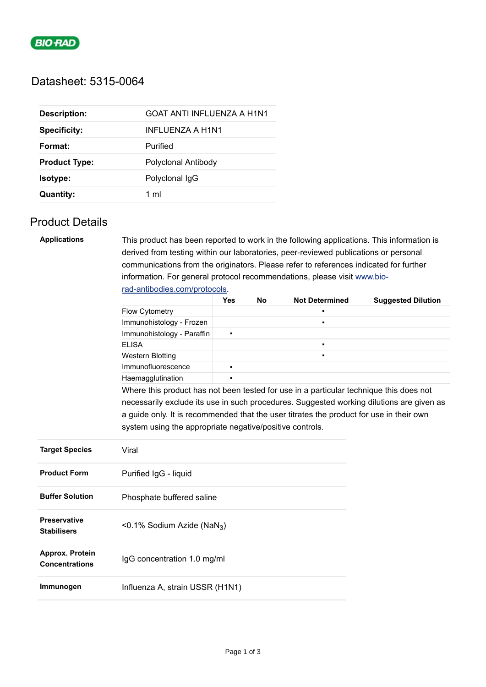

# Datasheet: 5315-0064

| <b>Description:</b>  | GOAT ANTI INFLUENZA A H1N1 |
|----------------------|----------------------------|
| <b>Specificity:</b>  | INFLUENZA A H1N1           |
| Format:              | Purified                   |
| <b>Product Type:</b> | Polyclonal Antibody        |
| Isotype:             | Polyclonal IgG             |
| <b>Quantity:</b>     | 1 ml                       |

# Product Details

| <b>Applications</b>    | This product has been reported to work in the following applications. This information is |                       |                           |                |                                                                                          |  |  |  |
|------------------------|-------------------------------------------------------------------------------------------|-----------------------|---------------------------|----------------|------------------------------------------------------------------------------------------|--|--|--|
|                        | derived from testing within our laboratories, peer-reviewed publications or personal      |                       |                           |                |                                                                                          |  |  |  |
|                        | communications from the originators. Please refer to references indicated for further     |                       |                           |                |                                                                                          |  |  |  |
|                        | information. For general protocol recommendations, please visit www.bio-                  |                       |                           |                |                                                                                          |  |  |  |
|                        | rad-antibodies.com/protocols.                                                             |                       |                           |                |                                                                                          |  |  |  |
|                        |                                                                                           | <b>Not Determined</b> | <b>Suggested Dilution</b> |                |                                                                                          |  |  |  |
|                        | <b>Flow Cytometry</b>                                                                     |                       |                           |                |                                                                                          |  |  |  |
|                        | Immunohistology - Frozen                                                                  |                       |                           | $\blacksquare$ |                                                                                          |  |  |  |
|                        | Immunohistology - Paraffin                                                                | П                     |                           |                |                                                                                          |  |  |  |
|                        | <b>ELISA</b>                                                                              |                       |                           | $\blacksquare$ |                                                                                          |  |  |  |
|                        | <b>Western Blotting</b>                                                                   |                       |                           | $\blacksquare$ |                                                                                          |  |  |  |
|                        | Immunofluorescence                                                                        |                       |                           |                |                                                                                          |  |  |  |
|                        | Haemagglutination                                                                         |                       |                           |                |                                                                                          |  |  |  |
|                        | Where this product has not been tested for use in a particular technique this does not    |                       |                           |                |                                                                                          |  |  |  |
|                        |                                                                                           |                       |                           |                | necessarily exclude its use in such procedures. Suggested working dilutions are given as |  |  |  |
|                        | a guide only. It is recommended that the user titrates the product for use in their own   |                       |                           |                |                                                                                          |  |  |  |
|                        | system using the appropriate negative/positive controls.                                  |                       |                           |                |                                                                                          |  |  |  |
|                        |                                                                                           |                       |                           |                |                                                                                          |  |  |  |
| <b>Target Species</b>  | Viral                                                                                     |                       |                           |                |                                                                                          |  |  |  |
|                        |                                                                                           |                       |                           |                |                                                                                          |  |  |  |
| <b>Product Form</b>    | Purified IgG - liquid                                                                     |                       |                           |                |                                                                                          |  |  |  |
|                        |                                                                                           |                       |                           |                |                                                                                          |  |  |  |
| <b>Buffer Solution</b> | Phosphate buffered saline                                                                 |                       |                           |                |                                                                                          |  |  |  |
|                        |                                                                                           |                       |                           |                |                                                                                          |  |  |  |
| <b>Preservative</b>    |                                                                                           |                       |                           |                |                                                                                          |  |  |  |
| <b>Stabilisers</b>     | <0.1% Sodium Azide (NaN <sub>3</sub> )                                                    |                       |                           |                |                                                                                          |  |  |  |
|                        |                                                                                           |                       |                           |                |                                                                                          |  |  |  |
| Approx. Protein        |                                                                                           |                       |                           |                |                                                                                          |  |  |  |
| <b>Concentrations</b>  | IgG concentration 1.0 mg/ml                                                               |                       |                           |                |                                                                                          |  |  |  |
|                        |                                                                                           |                       |                           |                |                                                                                          |  |  |  |
| Immunogen              | Influenza A, strain USSR (H1N1)                                                           |                       |                           |                |                                                                                          |  |  |  |
|                        |                                                                                           |                       |                           |                |                                                                                          |  |  |  |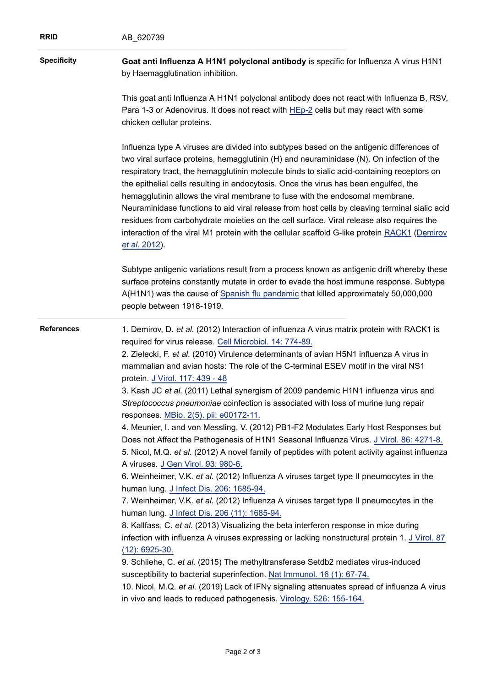| <b>RRID</b>        | AB_620739                                                                                                                                                                                                                                                                                                                                                                                                                                                                                                                                                                                                                                                                                                                                                                                                                                                                                                                                                                                                                                                                                                                                                                                                                                                                                                                                                                                                                                                                                                                                                                                                                                                                                                                                                      |  |  |  |  |  |
|--------------------|----------------------------------------------------------------------------------------------------------------------------------------------------------------------------------------------------------------------------------------------------------------------------------------------------------------------------------------------------------------------------------------------------------------------------------------------------------------------------------------------------------------------------------------------------------------------------------------------------------------------------------------------------------------------------------------------------------------------------------------------------------------------------------------------------------------------------------------------------------------------------------------------------------------------------------------------------------------------------------------------------------------------------------------------------------------------------------------------------------------------------------------------------------------------------------------------------------------------------------------------------------------------------------------------------------------------------------------------------------------------------------------------------------------------------------------------------------------------------------------------------------------------------------------------------------------------------------------------------------------------------------------------------------------------------------------------------------------------------------------------------------------|--|--|--|--|--|
| <b>Specificity</b> | Goat anti Influenza A H1N1 polyclonal antibody is specific for Influenza A virus H1N1<br>by Haemagglutination inhibition.                                                                                                                                                                                                                                                                                                                                                                                                                                                                                                                                                                                                                                                                                                                                                                                                                                                                                                                                                                                                                                                                                                                                                                                                                                                                                                                                                                                                                                                                                                                                                                                                                                      |  |  |  |  |  |
|                    | This goat anti Influenza A H1N1 polyclonal antibody does not react with Influenza B, RSV,<br>Para 1-3 or Adenovirus. It does not react with HEp-2 cells but may react with some<br>chicken cellular proteins.                                                                                                                                                                                                                                                                                                                                                                                                                                                                                                                                                                                                                                                                                                                                                                                                                                                                                                                                                                                                                                                                                                                                                                                                                                                                                                                                                                                                                                                                                                                                                  |  |  |  |  |  |
|                    | Influenza type A viruses are divided into subtypes based on the antigenic differences of<br>two viral surface proteins, hemagglutinin (H) and neuraminidase (N). On infection of the<br>respiratory tract, the hemagglutinin molecule binds to sialic acid-containing receptors on<br>the epithelial cells resulting in endocytosis. Once the virus has been engulfed, the<br>hemagglutinin allows the viral membrane to fuse with the endosomal membrane.<br>Neuraminidase functions to aid viral release from host cells by cleaving terminal sialic acid<br>residues from carbohydrate moieties on the cell surface. Viral release also requires the<br>interaction of the viral M1 protein with the cellular scaffold G-like protein RACK1 (Demirov<br>et al. 2012).                                                                                                                                                                                                                                                                                                                                                                                                                                                                                                                                                                                                                                                                                                                                                                                                                                                                                                                                                                                       |  |  |  |  |  |
|                    | Subtype antigenic variations result from a process known as antigenic drift whereby these<br>surface proteins constantly mutate in order to evade the host immune response. Subtype<br>A(H1N1) was the cause of Spanish flu pandemic that killed approximately 50,000,000<br>people between 1918-1919.                                                                                                                                                                                                                                                                                                                                                                                                                                                                                                                                                                                                                                                                                                                                                                                                                                                                                                                                                                                                                                                                                                                                                                                                                                                                                                                                                                                                                                                         |  |  |  |  |  |
| <b>References</b>  | 1. Demirov, D. et al. (2012) Interaction of influenza A virus matrix protein with RACK1 is<br>required for virus release. Cell Microbiol. 14: 774-89.<br>2. Zielecki, F. et al. (2010) Virulence determinants of avian H5N1 influenza A virus in<br>mammalian and avian hosts: The role of the C-terminal ESEV motif in the viral NS1<br>protein. J Virol. 117: 439 - 48<br>3. Kash JC et al. (2011) Lethal synergism of 2009 pandemic H1N1 influenza virus and<br>Streptococcus pneumoniae coinfection is associated with loss of murine lung repair<br>responses. MBio. 2(5). pii: e00172-11.<br>4. Meunier, I. and von Messling, V. (2012) PB1-F2 Modulates Early Host Responses but<br>Does not Affect the Pathogenesis of H1N1 Seasonal Influenza Virus. J Virol. 86: 4271-8.<br>5. Nicol, M.Q. et al. (2012) A novel family of peptides with potent activity against influenza<br>A viruses. J Gen Virol. 93: 980-6.<br>6. Weinheimer, V.K. et al. (2012) Influenza A viruses target type II pneumocytes in the<br>human lung. J Infect Dis. 206: 1685-94.<br>7. Weinheimer, V.K. et al. (2012) Influenza A viruses target type II pneumocytes in the<br>human lung. J Infect Dis. 206 (11): 1685-94.<br>8. Kallfass, C. et al. (2013) Visualizing the beta interferon response in mice during<br>infection with influenza A viruses expressing or lacking nonstructural protein 1. J Virol. 87<br>$(12): 6925-30.$<br>9. Schliehe, C. et al. (2015) The methyltransferase Setdb2 mediates virus-induced<br>susceptibility to bacterial superinfection. Nat Immunol. 16 (1): 67-74.<br>10. Nicol, M.Q. et al. (2019) Lack of IFNy signaling attenuates spread of influenza A virus<br>in vivo and leads to reduced pathogenesis. Virology. 526: 155-164. |  |  |  |  |  |